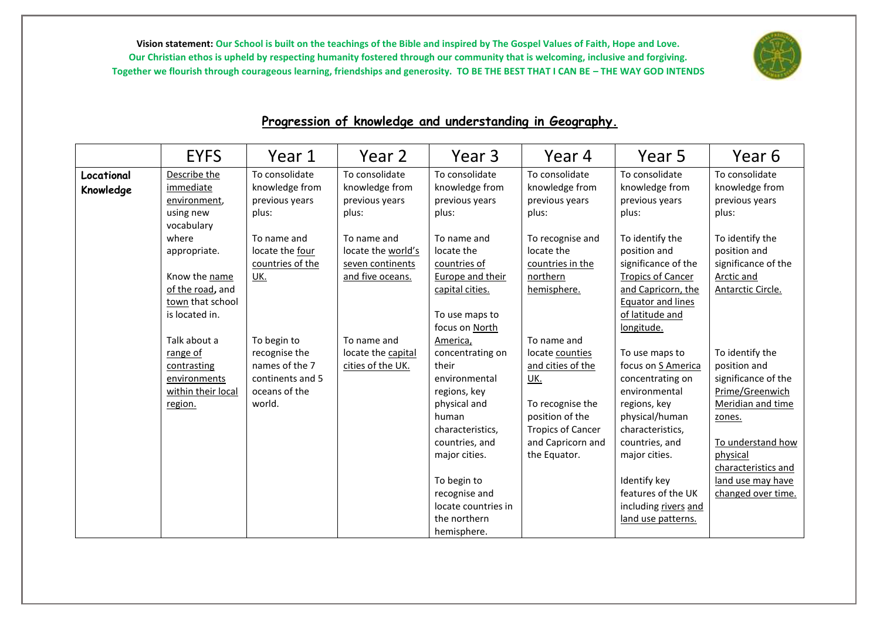

## **Progression of knowledge and understanding in Geography.**

|                         | <b>EYFS</b>                                                                    | Year 1                                                      | Year 2                                                                    | Year 3                                                                             | Year 4                                                                                               | Year 5                                                                                                                        | Year 6                                                                                    |
|-------------------------|--------------------------------------------------------------------------------|-------------------------------------------------------------|---------------------------------------------------------------------------|------------------------------------------------------------------------------------|------------------------------------------------------------------------------------------------------|-------------------------------------------------------------------------------------------------------------------------------|-------------------------------------------------------------------------------------------|
| Locational<br>Knowledge | Describe the<br>immediate<br>environment,<br>using new<br>vocabulary           | To consolidate<br>knowledge from<br>previous years<br>plus: | To consolidate<br>knowledge from<br>previous years<br>plus:               | To consolidate<br>knowledge from<br>previous years<br>plus:                        | To consolidate<br>knowledge from<br>previous years<br>plus:                                          | To consolidate<br>knowledge from<br>previous years<br>plus:                                                                   | To consolidate<br>knowledge from<br>previous years<br>plus:                               |
|                         | where<br>appropriate.<br>Know the name<br>of the road, and<br>town that school | To name and<br>locate the four<br>countries of the<br>UK.   | To name and<br>locate the world's<br>seven continents<br>and five oceans. | To name and<br>locate the<br>countries of<br>Europe and their<br>capital cities.   | To recognise and<br>locate the<br>countries in the<br>northern<br>hemisphere.                        | To identify the<br>position and<br>significance of the<br><b>Tropics of Cancer</b><br>and Capricorn, the<br>Equator and lines | To identify the<br>position and<br>significance of the<br>Arctic and<br>Antarctic Circle. |
|                         | is located in.<br>Talk about a<br>range of                                     | To begin to<br>recognise the                                | To name and<br>locate the capital                                         | To use maps to<br>focus on North<br>America,<br>concentrating on                   | To name and<br>locate counties                                                                       | of latitude and<br>longitude.<br>To use maps to                                                                               | To identify the                                                                           |
|                         | contrasting<br>environments<br>within their local                              | names of the 7<br>continents and 5<br>oceans of the         | cities of the UK.                                                         | their<br>environmental<br>regions, key                                             | and cities of the<br><u>UK.</u>                                                                      | focus on S America<br>concentrating on<br>environmental                                                                       | position and<br>significance of the<br>Prime/Greenwich                                    |
|                         | region.                                                                        | world.                                                      |                                                                           | physical and<br>human<br>characteristics,<br>countries, and<br>major cities.       | To recognise the<br>position of the<br><b>Tropics of Cancer</b><br>and Capricorn and<br>the Equator. | regions, key<br>physical/human<br>characteristics,<br>countries, and<br>major cities.                                         | Meridian and time<br>zones.<br>To understand how<br>physical                              |
|                         |                                                                                |                                                             |                                                                           | To begin to<br>recognise and<br>locate countries in<br>the northern<br>hemisphere. |                                                                                                      | Identify key<br>features of the UK<br>including rivers and<br>land use patterns.                                              | characteristics and<br>land use may have<br>changed over time.                            |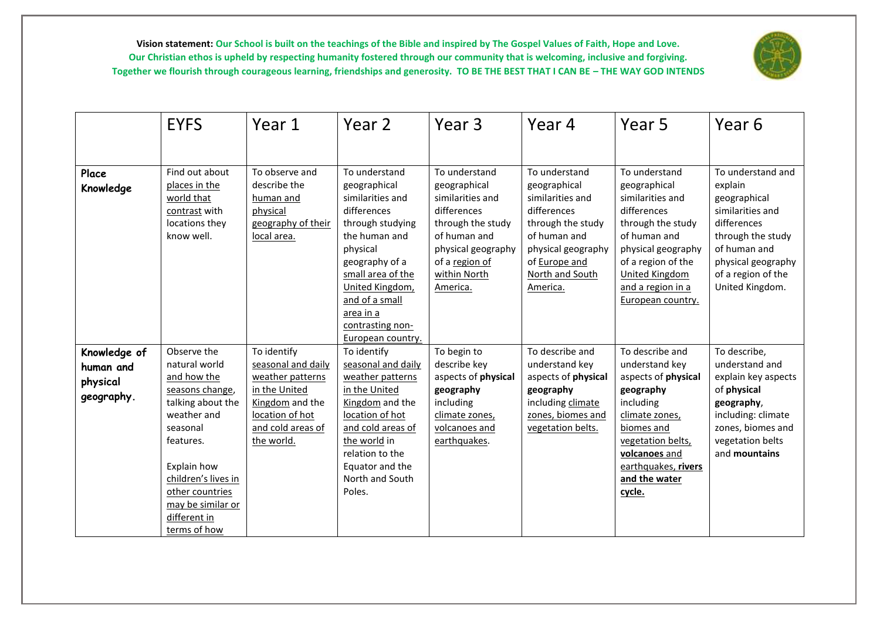

|                                                     | <b>EYFS</b>                                                                                                                                                                                                                               | Year 1                                                                                                                                          | Year 2                                                                                                                                                                                                                                              | Year <sub>3</sub>                                                                                                                                                         | Year 4                                                                                                                                                                      | Year 5                                                                                                                                                                                                               | Year 6                                                                                                                                                                              |
|-----------------------------------------------------|-------------------------------------------------------------------------------------------------------------------------------------------------------------------------------------------------------------------------------------------|-------------------------------------------------------------------------------------------------------------------------------------------------|-----------------------------------------------------------------------------------------------------------------------------------------------------------------------------------------------------------------------------------------------------|---------------------------------------------------------------------------------------------------------------------------------------------------------------------------|-----------------------------------------------------------------------------------------------------------------------------------------------------------------------------|----------------------------------------------------------------------------------------------------------------------------------------------------------------------------------------------------------------------|-------------------------------------------------------------------------------------------------------------------------------------------------------------------------------------|
|                                                     |                                                                                                                                                                                                                                           |                                                                                                                                                 |                                                                                                                                                                                                                                                     |                                                                                                                                                                           |                                                                                                                                                                             |                                                                                                                                                                                                                      |                                                                                                                                                                                     |
| Place<br>Knowledge                                  | Find out about<br>places in the<br>world that<br>contrast with<br>locations they<br>know well.                                                                                                                                            | To observe and<br>describe the<br>human and<br>physical<br>geography of their<br>local area.                                                    | To understand<br>geographical<br>similarities and<br>differences<br>through studying<br>the human and<br>physical<br>geography of a<br>small area of the<br>United Kingdom,<br>and of a small<br>area in a<br>contrasting non-<br>European country. | To understand<br>geographical<br>similarities and<br>differences<br>through the study<br>of human and<br>physical geography<br>of a region of<br>within North<br>America. | To understand<br>geographical<br>similarities and<br>differences<br>through the study<br>of human and<br>physical geography<br>of Europe and<br>North and South<br>America. | To understand<br>geographical<br>similarities and<br>differences<br>through the study<br>of human and<br>physical geography<br>of a region of the<br><b>United Kingdom</b><br>and a region in a<br>European country. | To understand and<br>explain<br>geographical<br>similarities and<br>differences<br>through the study<br>of human and<br>physical geography<br>of a region of the<br>United Kingdom. |
| Knowledge of<br>human and<br>physical<br>geography. | Observe the<br>natural world<br>and how the<br>seasons change,<br>talking about the<br>weather and<br>seasonal<br>features.<br>Explain how<br>children's lives in<br>other countries<br>may be similar or<br>different in<br>terms of how | To identify<br>seasonal and daily<br>weather patterns<br>in the United<br>Kingdom and the<br>location of hot<br>and cold areas of<br>the world. | To identify<br>seasonal and daily<br>weather patterns<br>in the United<br>Kingdom and the<br>location of hot<br>and cold areas of<br>the world in<br>relation to the<br>Equator and the<br>North and South<br>Poles.                                | To begin to<br>describe key<br>aspects of physical<br>geography<br>including<br>climate zones,<br>volcanoes and<br>earthquakes.                                           | To describe and<br>understand key<br>aspects of physical<br>geography<br>including climate<br>zones, biomes and<br>vegetation belts.                                        | To describe and<br>understand key<br>aspects of physical<br>geography<br>including<br>climate zones,<br>biomes and<br>vegetation belts,<br>volcanoes and<br>earthquakes, rivers<br>and the water<br>cycle.           | To describe,<br>understand and<br>explain key aspects<br>of physical<br>geography,<br>including: climate<br>zones, biomes and<br>vegetation belts<br>and mountains                  |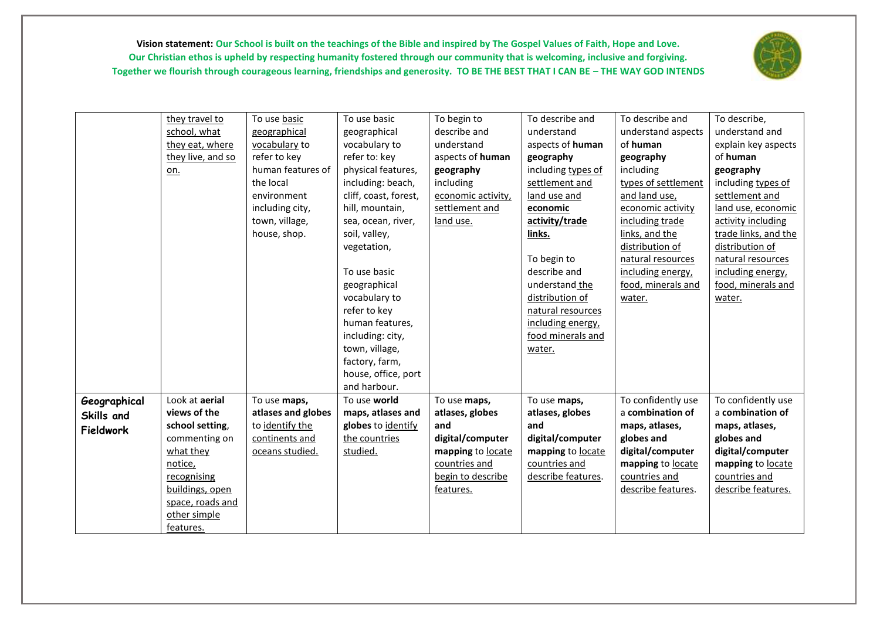

|              | they travel to    | To use basic       | To use basic          | To begin to        | To describe and    | To describe and     | To describe,         |
|--------------|-------------------|--------------------|-----------------------|--------------------|--------------------|---------------------|----------------------|
|              | school, what      | geographical       | geographical          | describe and       | understand         | understand aspects  | understand and       |
|              | they eat, where   | vocabulary to      | vocabulary to         | understand         | aspects of human   | of human            | explain key aspects  |
|              | they live, and so | refer to key       | refer to: key         | aspects of human   | geography          | geography           | of human             |
|              | <u>on.</u>        | human features of  | physical features,    | geography          | including types of | including           | geography            |
|              |                   | the local          | including: beach,     | including          | settlement and     | types of settlement | including types of   |
|              |                   | environment        | cliff, coast, forest, | economic activity, | land use and       | and land use,       | settlement and       |
|              |                   | including city,    | hill, mountain,       | settlement and     | economic           | economic activity   | land use, economic   |
|              |                   | town, village,     | sea, ocean, river,    | land use.          | activity/trade     | including trade     | activity including   |
|              |                   | house, shop.       | soil, valley,         |                    | links.             | links, and the      | trade links, and the |
|              |                   |                    | vegetation,           |                    |                    | distribution of     | distribution of      |
|              |                   |                    |                       |                    | To begin to        | natural resources   | natural resources    |
|              |                   |                    | To use basic          |                    | describe and       | including energy,   | including energy,    |
|              |                   |                    | geographical          |                    | understand the     | food, minerals and  | food, minerals and   |
|              |                   |                    | vocabulary to         |                    | distribution of    | water.              | water.               |
|              |                   |                    | refer to key          |                    | natural resources  |                     |                      |
|              |                   |                    | human features,       |                    | including energy,  |                     |                      |
|              |                   |                    | including: city,      |                    | food minerals and  |                     |                      |
|              |                   |                    | town, village,        |                    | water.             |                     |                      |
|              |                   |                    | factory, farm,        |                    |                    |                     |                      |
|              |                   |                    | house, office, port   |                    |                    |                     |                      |
|              |                   |                    | and harbour.          |                    |                    |                     |                      |
| Geographical | Look at aerial    | To use maps,       | To use world          | To use maps,       | To use maps,       | To confidently use  | To confidently use   |
| Skills and   | views of the      | atlases and globes | maps, atlases and     | atlases, globes    | atlases, globes    | a combination of    | a combination of     |
| Fieldwork    | school setting,   | to identify the    | globes to identify    | and                | and                | maps, atlases,      | maps, atlases,       |
|              | commenting on     | continents and     | the countries         | digital/computer   | digital/computer   | globes and          | globes and           |
|              | what they         | oceans studied.    | studied.              | mapping to locate  | mapping to locate  | digital/computer    | digital/computer     |
|              | notice,           |                    |                       | countries and      | countries and      | mapping to locate   | mapping to locate    |
|              | recognising       |                    |                       | begin to describe  | describe features. | countries and       | countries and        |
|              | buildings, open   |                    |                       | features.          |                    | describe features.  | describe features.   |
|              | space, roads and  |                    |                       |                    |                    |                     |                      |
|              | other simple      |                    |                       |                    |                    |                     |                      |
|              | features.         |                    |                       |                    |                    |                     |                      |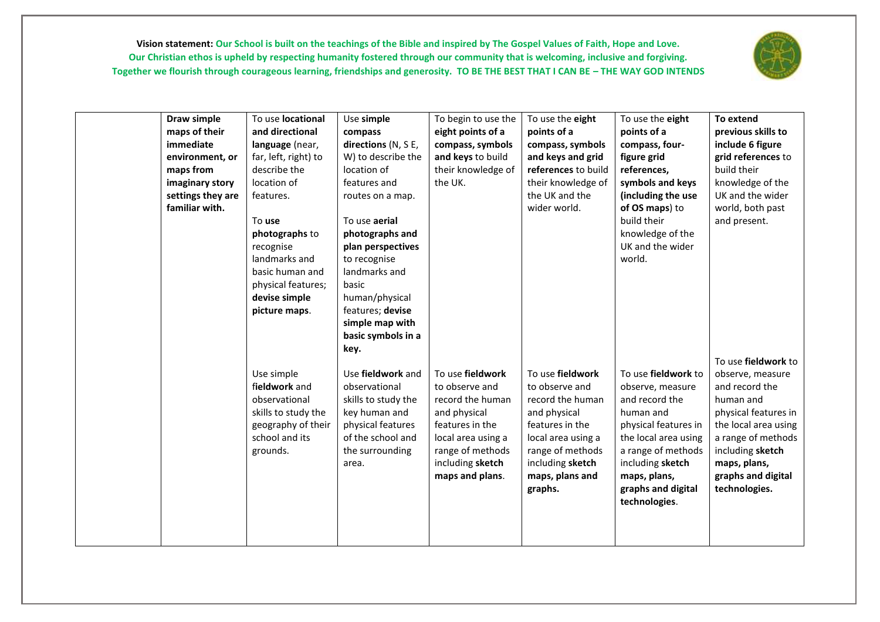

| Draw simple<br>maps of their<br>immediate<br>environment, or<br>maps from<br>imaginary story<br>settings they are<br>familiar with. | To use locational<br>and directional<br>language (near,<br>far, left, right) to<br>describe the<br>location of<br>features.<br>To use<br>photographs to<br>recognise<br>landmarks and<br>basic human and<br>physical features;<br>devise simple<br>picture maps. | Use simple<br>compass<br>directions (N, S E,<br>W) to describe the<br>location of<br>features and<br>routes on a map.<br>To use aerial<br>photographs and<br>plan perspectives<br>to recognise<br>landmarks and<br>basic<br>human/physical<br>features; devise<br>simple map with<br>basic symbols in a<br>key. | To begin to use the<br>eight points of a<br>compass, symbols<br>and keys to build<br>their knowledge of<br>the UK.                                                         | To use the eight<br>points of a<br>compass, symbols<br>and keys and grid<br>references to build<br>their knowledge of<br>the UK and the<br>wider world.                               | To use the eight<br>points of a<br>compass, four-<br>figure grid<br>references,<br>symbols and keys<br>(including the use<br>of OS maps) to<br>build their<br>knowledge of the<br>UK and the wider<br>world.            | To extend<br>previous skills to<br>include 6 figure<br>grid references to<br>build their<br>knowledge of the<br>UK and the wider<br>world, both past<br>and present.<br>To use fieldwork to      |
|-------------------------------------------------------------------------------------------------------------------------------------|------------------------------------------------------------------------------------------------------------------------------------------------------------------------------------------------------------------------------------------------------------------|-----------------------------------------------------------------------------------------------------------------------------------------------------------------------------------------------------------------------------------------------------------------------------------------------------------------|----------------------------------------------------------------------------------------------------------------------------------------------------------------------------|---------------------------------------------------------------------------------------------------------------------------------------------------------------------------------------|-------------------------------------------------------------------------------------------------------------------------------------------------------------------------------------------------------------------------|--------------------------------------------------------------------------------------------------------------------------------------------------------------------------------------------------|
|                                                                                                                                     | Use simple<br>fieldwork and<br>observational<br>skills to study the<br>geography of their<br>school and its<br>grounds.                                                                                                                                          | Use fieldwork and<br>observational<br>skills to study the<br>key human and<br>physical features<br>of the school and<br>the surrounding<br>area.                                                                                                                                                                | To use fieldwork<br>to observe and<br>record the human<br>and physical<br>features in the<br>local area using a<br>range of methods<br>including sketch<br>maps and plans. | To use fieldwork<br>to observe and<br>record the human<br>and physical<br>features in the<br>local area using a<br>range of methods<br>including sketch<br>maps, plans and<br>graphs. | To use fieldwork to<br>observe, measure<br>and record the<br>human and<br>physical features in<br>the local area using<br>a range of methods<br>including sketch<br>maps, plans,<br>graphs and digital<br>technologies. | observe, measure<br>and record the<br>human and<br>physical features in<br>the local area using<br>a range of methods<br>including sketch<br>maps, plans,<br>graphs and digital<br>technologies. |